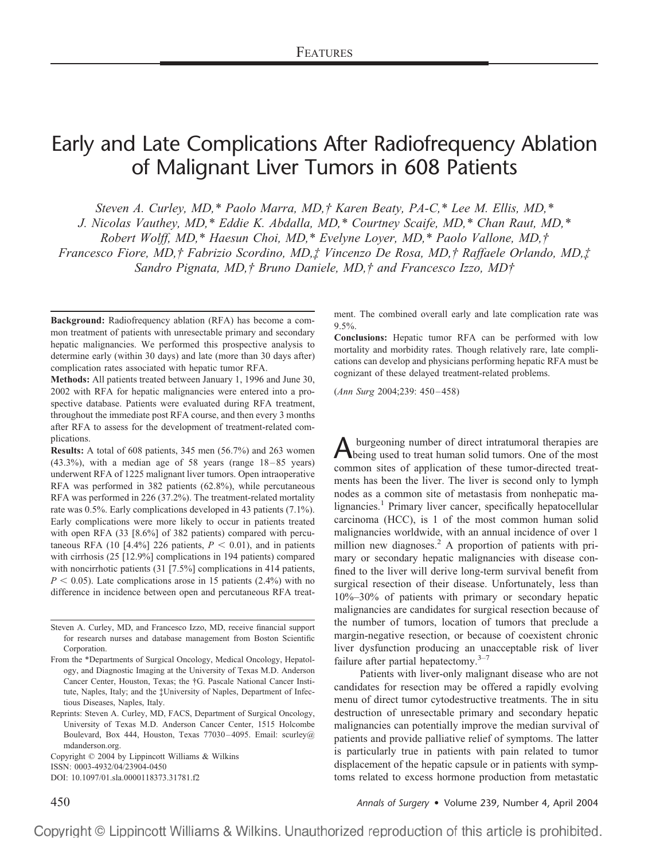# Early and Late Complications After Radiofrequency Ablation of Malignant Liver Tumors in 608 Patients

*Steven A. Curley, MD,\* Paolo Marra, MD,† Karen Beaty, PA-C,\* Lee M. Ellis, MD,\**

*J. Nicolas Vauthey, MD,\* Eddie K. Abdalla, MD,\* Courtney Scaife, MD,\* Chan Raut, MD,\**

*Robert Wolff, MD,\* Haesun Choi, MD,\* Evelyne Loyer, MD,\* Paolo Vallone, MD,†*

*Francesco Fiore, MD,† Fabrizio Scordino, MD,‡ Vincenzo De Rosa, MD,† Raffaele Orlando, MD,‡*

*Sandro Pignata, MD,† Bruno Daniele, MD,† and Francesco Izzo, MD†*

**Background:** Radiofrequency ablation (RFA) has become a common treatment of patients with unresectable primary and secondary hepatic malignancies. We performed this prospective analysis to determine early (within 30 days) and late (more than 30 days after) complication rates associated with hepatic tumor RFA.

**Methods:** All patients treated between January 1, 1996 and June 30, 2002 with RFA for hepatic malignancies were entered into a prospective database. Patients were evaluated during RFA treatment, throughout the immediate post RFA course, and then every 3 months after RFA to assess for the development of treatment-related complications.

**Results:** A total of 608 patients, 345 men (56.7%) and 263 women (43.3%), with a median age of 58 years (range 18–85 years) underwent RFA of 1225 malignant liver tumors. Open intraoperative RFA was performed in 382 patients (62.8%), while percutaneous RFA was performed in 226 (37.2%). The treatment-related mortality rate was 0.5%. Early complications developed in 43 patients (7.1%). Early complications were more likely to occur in patients treated with open RFA (33 [8.6%] of 382 patients) compared with percutaneous RFA (10 [4.4%] 226 patients,  $P < 0.01$ ), and in patients with cirrhosis (25 [12.9%] complications in 194 patients) compared with noncirrhotic patients (31 [7.5%] complications in 414 patients,  $P < 0.05$ ). Late complications arose in 15 patients (2.4%) with no difference in incidence between open and percutaneous RFA treat-

Steven A. Curley, MD, and Francesco Izzo, MD, receive financial support for research nurses and database management from Boston Scientific Corporation.

From the \*Departments of Surgical Oncology, Medical Oncology, Hepatology, and Diagnostic Imaging at the University of Texas M.D. Anderson Cancer Center, Houston, Texas; the †G. Pascale National Cancer Institute, Naples, Italy; and the ‡University of Naples, Department of Infectious Diseases, Naples, Italy.

Reprints: Steven A. Curley, MD, FACS, Department of Surgical Oncology, University of Texas M.D. Anderson Cancer Center, 1515 Holcombe Boulevard, Box 444, Houston, Texas 77030–4095. Email: scurley@ mdanderson.org.

Copyright © 2004 by Lippincott Williams & Wilkins ISSN: 0003-4932/04/23904-0450 DOI: 10.1097/01.sla.0000118373.31781.f2

ment. The combined overall early and late complication rate was  $9.5\%$ 

**Conclusions:** Hepatic tumor RFA can be performed with low mortality and morbidity rates. Though relatively rare, late complications can develop and physicians performing hepatic RFA must be cognizant of these delayed treatment-related problems.

(*Ann Surg* 2004;239: 450–458)

Aburgeoning number of direct intratumoral therapies are<br>being used to treat human solid tumors. One of the most common sites of application of these tumor-directed treatments has been the liver. The liver is second only to lymph nodes as a common site of metastasis from nonhepatic malignancies.<sup>1</sup> Primary liver cancer, specifically hepatocellular carcinoma (HCC), is 1 of the most common human solid malignancies worldwide, with an annual incidence of over 1 million new diagnoses.<sup>2</sup> A proportion of patients with primary or secondary hepatic malignancies with disease confined to the liver will derive long-term survival benefit from surgical resection of their disease. Unfortunately, less than 10%–30% of patients with primary or secondary hepatic malignancies are candidates for surgical resection because of the number of tumors, location of tumors that preclude a margin-negative resection, or because of coexistent chronic liver dysfunction producing an unacceptable risk of liver failure after partial hepatectomy. $3-7$ 

Patients with liver-only malignant disease who are not candidates for resection may be offered a rapidly evolving menu of direct tumor cytodestructive treatments. The in situ destruction of unresectable primary and secondary hepatic malignancies can potentially improve the median survival of patients and provide palliative relief of symptoms. The latter is particularly true in patients with pain related to tumor displacement of the hepatic capsule or in patients with symptoms related to excess hormone production from metastatic

450 *Annals of Surgery* • Volume 239, Number 4, April 2004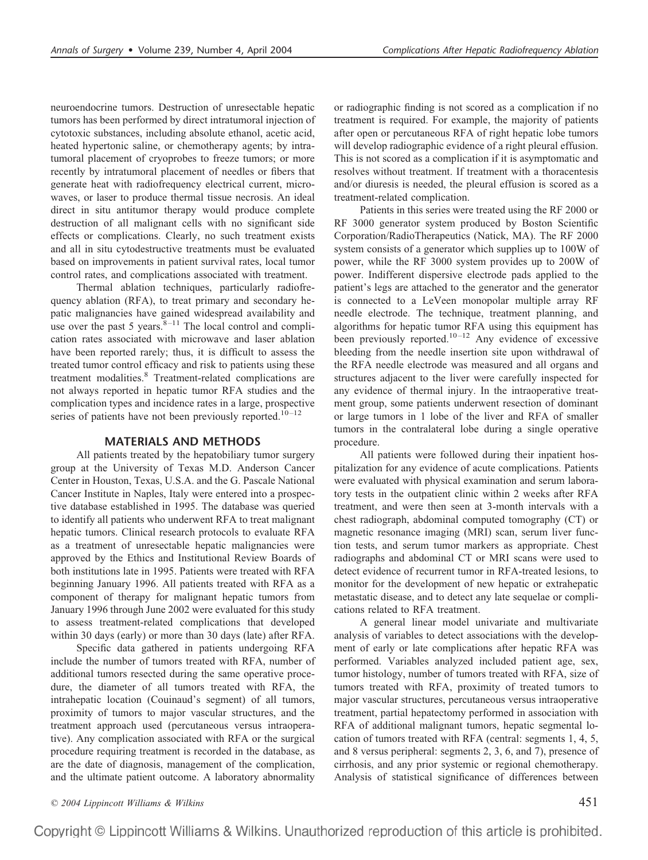neuroendocrine tumors. Destruction of unresectable hepatic tumors has been performed by direct intratumoral injection of cytotoxic substances, including absolute ethanol, acetic acid, heated hypertonic saline, or chemotherapy agents; by intratumoral placement of cryoprobes to freeze tumors; or more recently by intratumoral placement of needles or fibers that generate heat with radiofrequency electrical current, microwaves, or laser to produce thermal tissue necrosis. An ideal direct in situ antitumor therapy would produce complete destruction of all malignant cells with no significant side effects or complications. Clearly, no such treatment exists and all in situ cytodestructive treatments must be evaluated based on improvements in patient survival rates, local tumor control rates, and complications associated with treatment.

Thermal ablation techniques, particularly radiofrequency ablation (RFA), to treat primary and secondary hepatic malignancies have gained widespread availability and use over the past 5 years. $8-11$  The local control and complication rates associated with microwave and laser ablation have been reported rarely; thus, it is difficult to assess the treated tumor control efficacy and risk to patients using these treatment modalities.<sup>8</sup> Treatment-related complications are not always reported in hepatic tumor RFA studies and the complication types and incidence rates in a large, prospective series of patients have not been previously reported.<sup>10–12</sup>

## **MATERIALS AND METHODS**

All patients treated by the hepatobiliary tumor surgery group at the University of Texas M.D. Anderson Cancer Center in Houston, Texas, U.S.A. and the G. Pascale National Cancer Institute in Naples, Italy were entered into a prospective database established in 1995. The database was queried to identify all patients who underwent RFA to treat malignant hepatic tumors. Clinical research protocols to evaluate RFA as a treatment of unresectable hepatic malignancies were approved by the Ethics and Institutional Review Boards of both institutions late in 1995. Patients were treated with RFA beginning January 1996. All patients treated with RFA as a component of therapy for malignant hepatic tumors from January 1996 through June 2002 were evaluated for this study to assess treatment-related complications that developed within 30 days (early) or more than 30 days (late) after RFA.

Specific data gathered in patients undergoing RFA include the number of tumors treated with RFA, number of additional tumors resected during the same operative procedure, the diameter of all tumors treated with RFA, the intrahepatic location (Couinaud's segment) of all tumors, proximity of tumors to major vascular structures, and the treatment approach used (percutaneous versus intraoperative). Any complication associated with RFA or the surgical procedure requiring treatment is recorded in the database, as are the date of diagnosis, management of the complication, and the ultimate patient outcome. A laboratory abnormality

or radiographic finding is not scored as a complication if no treatment is required. For example, the majority of patients after open or percutaneous RFA of right hepatic lobe tumors will develop radiographic evidence of a right pleural effusion. This is not scored as a complication if it is asymptomatic and resolves without treatment. If treatment with a thoracentesis and/or diuresis is needed, the pleural effusion is scored as a treatment-related complication.

Patients in this series were treated using the RF 2000 or RF 3000 generator system produced by Boston Scientific Corporation/RadioTherapeutics (Natick, MA). The RF 2000 system consists of a generator which supplies up to 100W of power, while the RF 3000 system provides up to 200W of power. Indifferent dispersive electrode pads applied to the patient's legs are attached to the generator and the generator is connected to a LeVeen monopolar multiple array RF needle electrode. The technique, treatment planning, and algorithms for hepatic tumor RFA using this equipment has been previously reported.<sup>10–12</sup> Any evidence of excessive bleeding from the needle insertion site upon withdrawal of the RFA needle electrode was measured and all organs and structures adjacent to the liver were carefully inspected for any evidence of thermal injury. In the intraoperative treatment group, some patients underwent resection of dominant or large tumors in 1 lobe of the liver and RFA of smaller tumors in the contralateral lobe during a single operative procedure.

All patients were followed during their inpatient hospitalization for any evidence of acute complications. Patients were evaluated with physical examination and serum laboratory tests in the outpatient clinic within 2 weeks after RFA treatment, and were then seen at 3-month intervals with a chest radiograph, abdominal computed tomography (CT) or magnetic resonance imaging (MRI) scan, serum liver function tests, and serum tumor markers as appropriate. Chest radiographs and abdominal CT or MRI scans were used to detect evidence of recurrent tumor in RFA-treated lesions, to monitor for the development of new hepatic or extrahepatic metastatic disease, and to detect any late sequelae or complications related to RFA treatment.

A general linear model univariate and multivariate analysis of variables to detect associations with the development of early or late complications after hepatic RFA was performed. Variables analyzed included patient age, sex, tumor histology, number of tumors treated with RFA, size of tumors treated with RFA, proximity of treated tumors to major vascular structures, percutaneous versus intraoperative treatment, partial hepatectomy performed in association with RFA of additional malignant tumors, hepatic segmental location of tumors treated with RFA (central: segments 1, 4, 5, and 8 versus peripheral: segments 2, 3, 6, and 7), presence of cirrhosis, and any prior systemic or regional chemotherapy. Analysis of statistical significance of differences between

*© 2004 Lippincott Williams & Wilkins* 451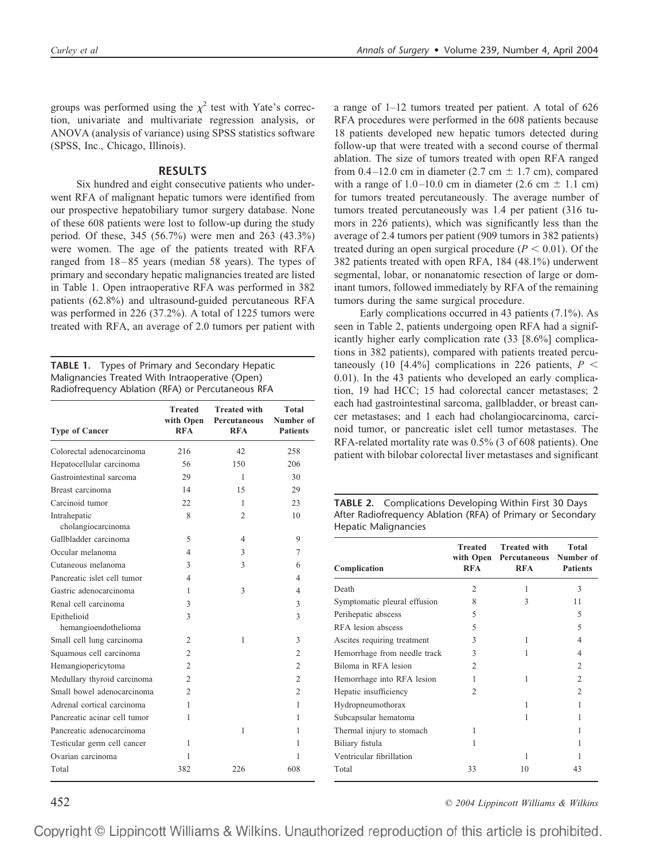groups was performed using the  $\chi^2$  test with Yate's correction, univariate and multivariate regression analysis, or ANOVA (analysis of variance) using SPSS statistics software (SPSS, Inc., Chicago, Illinois).

## **RESULTS**

Six hundred and eight consecutive patients who underwent RFA of malignant hepatic tumors were identified from our prospective hepatobiliary tumor surgery database. None of these 608 patients were lost to follow-up during the study period. Of these, 345 (56.7%) were men and 263 (43.3%) were women. The age of the patients treated with RFA ranged from 18–85 years (median 58 years). The types of primary and secondary hepatic malignancies treated are listed in Table 1. Open intraoperative RFA was performed in 382 patients (62.8%) and ultrasound-guided percutaneous RFA was performed in 226 (37.2%). A total of 1225 tumors were treated with RFA, an average of 2.0 tumors per patient with

**TABLE 1.** Types of Primary and Secondary Hepatic Malignancies Treated With Intraoperative (Open) Radiofrequency Ablation (RFA) or Percutaneous RFA

| <b>Type of Cancer</b>               | <b>Treated</b><br>with Open<br><b>RFA</b> | <b>Treated with</b><br>Percutaneous<br><b>RFA</b> | Total<br>Number of<br><b>Patients</b> |
|-------------------------------------|-------------------------------------------|---------------------------------------------------|---------------------------------------|
| Colorectal adenocarcinoma           | 216                                       | 42                                                | 258                                   |
| Hepatocellular carcinoma            | 56                                        | 150                                               | 206                                   |
| Gastrointestinal sarcoma            | 29                                        | 1                                                 | 30                                    |
| Breast carcinoma                    | 14                                        | 15                                                | 29                                    |
| Carcinoid tumor                     | 22                                        | 1                                                 | 23                                    |
| Intrahepatic<br>cholangiocarcinoma  | 8                                         | $\overline{c}$                                    | 10                                    |
| Gallbladder carcinoma               | 5                                         | 4                                                 | 9                                     |
| Occular melanoma                    | 4                                         | 3                                                 | 7                                     |
| Cutaneous melanoma                  | 3                                         | 3                                                 | 6                                     |
| Pancreatic islet cell tumor         | 4                                         |                                                   | 4                                     |
| Gastric adenocarcinoma              | 1                                         | 3                                                 | 4                                     |
| Renal cell carcinoma                | 3                                         |                                                   | 3                                     |
| Epithelioid<br>hemangioendothelioma | 3                                         |                                                   | 3                                     |
| Small cell lung carcinoma           | 2                                         | 1                                                 | 3                                     |
| Squamous cell carcinoma             | 2                                         |                                                   | $\overline{2}$                        |
| Hemangiopericytoma                  | 2                                         |                                                   | $\overline{2}$                        |
| Medullary thyroid carcinoma         | 2                                         |                                                   | $\overline{c}$                        |
| Small bowel adenocarcinoma          | $\overline{c}$                            |                                                   | $\overline{2}$                        |
| Adrenal cortical carcinoma          | 1                                         |                                                   | 1                                     |
| Pancreatic acinar cell tumor        | 1                                         |                                                   | 1                                     |
| Pancreatic adenocarcinoma           |                                           | 1                                                 | 1                                     |
| Testicular germ cell cancer         | 1                                         |                                                   | 1                                     |
| Ovarian carcinoma                   | 1                                         |                                                   | 1                                     |
| Total                               | 382                                       | 226                                               | 608                                   |

a range of 1–12 tumors treated per patient. A total of 626 RFA procedures were performed in the 608 patients because 18 patients developed new hepatic tumors detected during follow-up that were treated with a second course of thermal ablation. The size of tumors treated with open RFA ranged from 0.4–12.0 cm in diameter (2.7 cm  $\pm$  1.7 cm), compared with a range of  $1.0-10.0$  cm in diameter (2.6 cm  $\pm$  1.1 cm) for tumors treated percutaneously. The average number of tumors treated percutaneously was 1.4 per patient (316 tumors in 226 patients), which was significantly less than the average of 2.4 tumors per patient (909 tumors in 382 patients) treated during an open surgical procedure  $(P < 0.01)$ . Of the 382 patients treated with open RFA, 184 (48.1%) underwent segmental, lobar, or nonanatomic resection of large or dominant tumors, followed immediately by RFA of the remaining tumors during the same surgical procedure.

Early complications occurred in 43 patients (7.1%). As seen in Table 2, patients undergoing open RFA had a significantly higher early complication rate (33 [8.6%] complications in 382 patients), compared with patients treated percutaneously (10 [4.4%] complications in 226 patients,  $P \n\leq$ 0.01). In the 43 patients who developed an early complication, 19 had HCC; 15 had colorectal cancer metastases; 2 each had gastrointestinal sarcoma, gallbladder, or breast cancer metastases; and 1 each had cholangiocarcinoma, carcinoid tumor, or pancreatic islet cell tumor metastases. The RFA-related mortality rate was 0.5% (3 of 608 patients). One patient with bilobar colorectal liver metastases and significant

|                      | <b>TABLE 2.</b> Complications Developing Within First 30 Days |
|----------------------|---------------------------------------------------------------|
|                      | After Radiofrequency Ablation (RFA) of Primary or Secondary   |
| Hepatic Malignancies |                                                               |

| Complication                 | Treated<br><b>RFA</b> | <b>Treated with</b><br>with Open Percutaneous Number of<br><b>RFA</b> | Total<br><b>Patients</b> |
|------------------------------|-----------------------|-----------------------------------------------------------------------|--------------------------|
| Death                        | $\overline{2}$        | 1                                                                     | 3                        |
| Symptomatic pleural effusion | 8                     | 3                                                                     | 11                       |
| Perihepatic abscess          | 5                     |                                                                       | $\overline{\phantom{0}}$ |
| RFA lesion abscess           | 5                     |                                                                       | 5                        |
| Ascites requiring treatment  | 3                     | 1                                                                     | 4                        |
| Hemorrhage from needle track | 3                     | 1                                                                     | 4                        |
| Biloma in RFA lesion         | $\mathfrak{D}$        |                                                                       | $\mathfrak{D}$           |
| Hemorrhage into RFA lesion   | 1                     | 1                                                                     | $\overline{c}$           |
| Hepatic insufficiency        | $\overline{2}$        |                                                                       | $\mathfrak{D}$           |
| Hydropneumothorax            |                       | 1                                                                     | 1                        |
| Subcapsular hematoma         |                       | 1                                                                     | 1                        |
| Thermal injury to stomach    | 1                     |                                                                       | 1                        |
| Biliary fistula              | 1                     |                                                                       | 1                        |
| Ventricular fibrillation     |                       | 1                                                                     |                          |
| Total                        | 33                    | 10                                                                    | 43                       |

452 *© 2004 Lippincott Williams & Wilkins*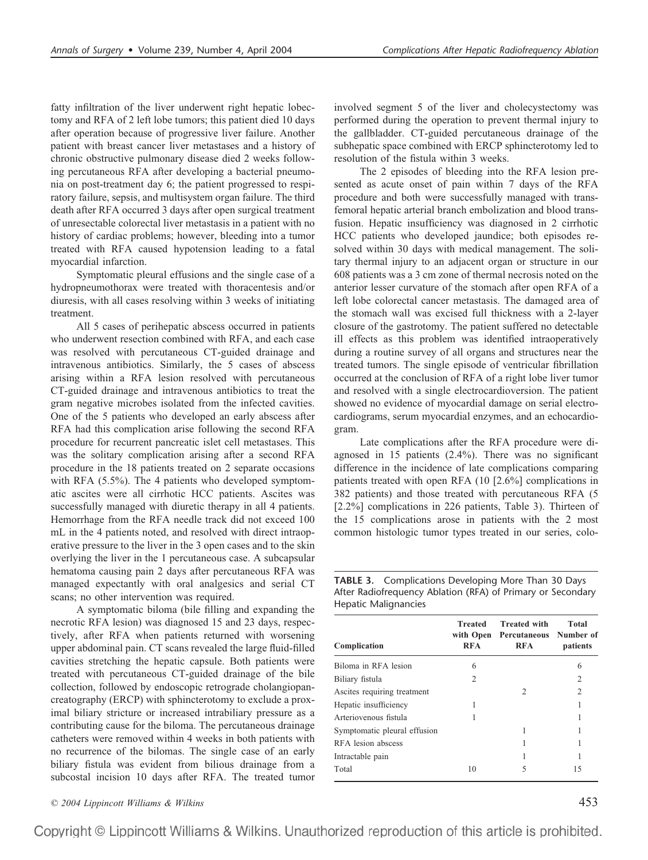fatty infiltration of the liver underwent right hepatic lobectomy and RFA of 2 left lobe tumors; this patient died 10 days after operation because of progressive liver failure. Another patient with breast cancer liver metastases and a history of chronic obstructive pulmonary disease died 2 weeks following percutaneous RFA after developing a bacterial pneumonia on post-treatment day 6; the patient progressed to respiratory failure, sepsis, and multisystem organ failure. The third death after RFA occurred 3 days after open surgical treatment of unresectable colorectal liver metastasis in a patient with no history of cardiac problems; however, bleeding into a tumor treated with RFA caused hypotension leading to a fatal myocardial infarction.

Symptomatic pleural effusions and the single case of a hydropneumothorax were treated with thoracentesis and/or diuresis, with all cases resolving within 3 weeks of initiating treatment.

All 5 cases of perihepatic abscess occurred in patients who underwent resection combined with RFA, and each case was resolved with percutaneous CT-guided drainage and intravenous antibiotics. Similarly, the 5 cases of abscess arising within a RFA lesion resolved with percutaneous CT-guided drainage and intravenous antibiotics to treat the gram negative microbes isolated from the infected cavities. One of the 5 patients who developed an early abscess after RFA had this complication arise following the second RFA procedure for recurrent pancreatic islet cell metastases. This was the solitary complication arising after a second RFA procedure in the 18 patients treated on 2 separate occasions with RFA (5.5%). The 4 patients who developed symptomatic ascites were all cirrhotic HCC patients. Ascites was successfully managed with diuretic therapy in all 4 patients. Hemorrhage from the RFA needle track did not exceed 100 mL in the 4 patients noted, and resolved with direct intraoperative pressure to the liver in the 3 open cases and to the skin overlying the liver in the 1 percutaneous case. A subcapsular hematoma causing pain 2 days after percutaneous RFA was managed expectantly with oral analgesics and serial CT scans; no other intervention was required.

A symptomatic biloma (bile filling and expanding the necrotic RFA lesion) was diagnosed 15 and 23 days, respectively, after RFA when patients returned with worsening upper abdominal pain. CT scans revealed the large fluid-filled cavities stretching the hepatic capsule. Both patients were treated with percutaneous CT-guided drainage of the bile collection, followed by endoscopic retrograde cholangiopancreatography (ERCP) with sphincterotomy to exclude a proximal biliary stricture or increased intrabiliary pressure as a contributing cause for the biloma. The percutaneous drainage catheters were removed within 4 weeks in both patients with no recurrence of the bilomas. The single case of an early biliary fistula was evident from bilious drainage from a subcostal incision 10 days after RFA. The treated tumor

*© 2004 Lippincott Williams & Wilkins* 453

involved segment 5 of the liver and cholecystectomy was performed during the operation to prevent thermal injury to the gallbladder. CT-guided percutaneous drainage of the subhepatic space combined with ERCP sphincterotomy led to resolution of the fistula within 3 weeks.

The 2 episodes of bleeding into the RFA lesion presented as acute onset of pain within 7 days of the RFA procedure and both were successfully managed with transfemoral hepatic arterial branch embolization and blood transfusion. Hepatic insufficiency was diagnosed in 2 cirrhotic HCC patients who developed jaundice; both episodes resolved within 30 days with medical management. The solitary thermal injury to an adjacent organ or structure in our 608 patients was a 3 cm zone of thermal necrosis noted on the anterior lesser curvature of the stomach after open RFA of a left lobe colorectal cancer metastasis. The damaged area of the stomach wall was excised full thickness with a 2-layer closure of the gastrotomy. The patient suffered no detectable ill effects as this problem was identified intraoperatively during a routine survey of all organs and structures near the treated tumors. The single episode of ventricular fibrillation occurred at the conclusion of RFA of a right lobe liver tumor and resolved with a single electrocardioversion. The patient showed no evidence of myocardial damage on serial electrocardiograms, serum myocardial enzymes, and an echocardiogram.

Late complications after the RFA procedure were diagnosed in 15 patients (2.4%). There was no significant difference in the incidence of late complications comparing patients treated with open RFA (10 [2.6%] complications in 382 patients) and those treated with percutaneous RFA (5 [2.2%] complications in 226 patients, Table 3). Thirteen of the 15 complications arose in patients with the 2 most common histologic tumor types treated in our series, colo-

**TABLE 3.** Complications Developing More Than 30 Days After Radiofrequency Ablation (RFA) of Primary or Secondary Hepatic Malignancies

| Complication                 | <b>Treated</b><br>with Open<br><b>RFA</b> | <b>Treated with</b><br>Percutaneous Number of<br><b>RFA</b> | Total<br>patients |
|------------------------------|-------------------------------------------|-------------------------------------------------------------|-------------------|
| Biloma in RFA lesion         | 6                                         |                                                             | 6                 |
| Biliary fistula              | 2                                         |                                                             | 2                 |
| Ascites requiring treatment  |                                           | $\mathcal{D}_{\mathcal{L}}$                                 | 2                 |
| Hepatic insufficiency        |                                           |                                                             |                   |
| Arteriovenous fistula        |                                           |                                                             |                   |
| Symptomatic pleural effusion |                                           |                                                             |                   |
| RFA lesion abscess           |                                           |                                                             |                   |
| Intractable pain             |                                           |                                                             |                   |
| Total                        | 10                                        | 5                                                           | 15                |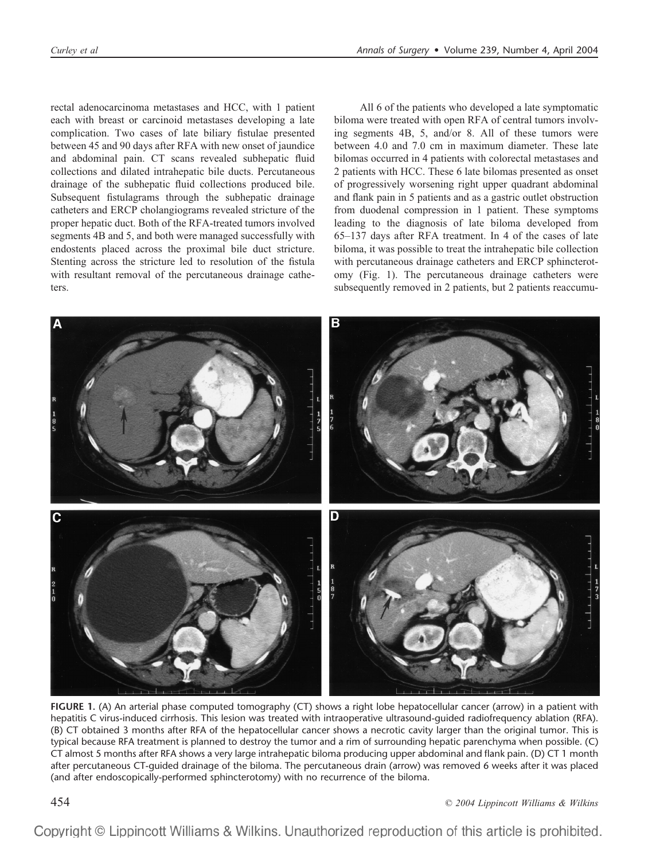rectal adenocarcinoma metastases and HCC, with 1 patient each with breast or carcinoid metastases developing a late complication. Two cases of late biliary fistulae presented between 45 and 90 days after RFA with new onset of jaundice and abdominal pain. CT scans revealed subhepatic fluid collections and dilated intrahepatic bile ducts. Percutaneous drainage of the subhepatic fluid collections produced bile. Subsequent fistulagrams through the subhepatic drainage catheters and ERCP cholangiograms revealed stricture of the proper hepatic duct. Both of the RFA-treated tumors involved segments 4B and 5, and both were managed successfully with endostents placed across the proximal bile duct stricture. Stenting across the stricture led to resolution of the fistula with resultant removal of the percutaneous drainage catheters.

All 6 of the patients who developed a late symptomatic biloma were treated with open RFA of central tumors involving segments 4B, 5, and/or 8. All of these tumors were between 4.0 and 7.0 cm in maximum diameter. These late bilomas occurred in 4 patients with colorectal metastases and 2 patients with HCC. These 6 late bilomas presented as onset of progressively worsening right upper quadrant abdominal and flank pain in 5 patients and as a gastric outlet obstruction from duodenal compression in 1 patient. These symptoms leading to the diagnosis of late biloma developed from 65–137 days after RFA treatment. In 4 of the cases of late biloma, it was possible to treat the intrahepatic bile collection with percutaneous drainage catheters and ERCP sphincterotomy (Fig. 1). The percutaneous drainage catheters were subsequently removed in 2 patients, but 2 patients reaccumu-



**FIGURE 1.** (A) An arterial phase computed tomography (CT) shows a right lobe hepatocellular cancer (arrow) in a patient with hepatitis C virus-induced cirrhosis. This lesion was treated with intraoperative ultrasound-guided radiofrequency ablation (RFA). (B) CT obtained 3 months after RFA of the hepatocellular cancer shows a necrotic cavity larger than the original tumor. This is typical because RFA treatment is planned to destroy the tumor and a rim of surrounding hepatic parenchyma when possible. (C) CT almost 5 months after RFA shows a very large intrahepatic biloma producing upper abdominal and flank pain. (D) CT 1 month after percutaneous CT-guided drainage of the biloma. The percutaneous drain (arrow) was removed 6 weeks after it was placed (and after endoscopically-performed sphincterotomy) with no recurrence of the biloma.

454 *© 2004 Lippincott Williams & Wilkins*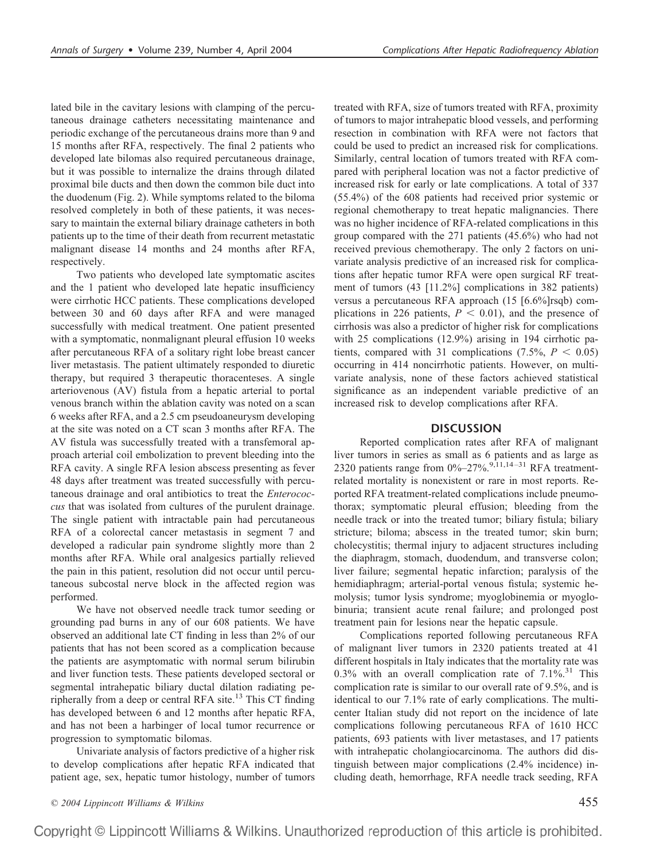lated bile in the cavitary lesions with clamping of the percutaneous drainage catheters necessitating maintenance and periodic exchange of the percutaneous drains more than 9 and 15 months after RFA, respectively. The final 2 patients who developed late bilomas also required percutaneous drainage, but it was possible to internalize the drains through dilated proximal bile ducts and then down the common bile duct into the duodenum (Fig. 2). While symptoms related to the biloma resolved completely in both of these patients, it was necessary to maintain the external biliary drainage catheters in both patients up to the time of their death from recurrent metastatic malignant disease 14 months and 24 months after RFA, respectively.

Two patients who developed late symptomatic ascites and the 1 patient who developed late hepatic insufficiency were cirrhotic HCC patients. These complications developed between 30 and 60 days after RFA and were managed successfully with medical treatment. One patient presented with a symptomatic, nonmalignant pleural effusion 10 weeks after percutaneous RFA of a solitary right lobe breast cancer liver metastasis. The patient ultimately responded to diuretic therapy, but required 3 therapeutic thoracenteses. A single arteriovenous (AV) fistula from a hepatic arterial to portal venous branch within the ablation cavity was noted on a scan 6 weeks after RFA, and a 2.5 cm pseudoaneurysm developing at the site was noted on a CT scan 3 months after RFA. The AV fistula was successfully treated with a transfemoral approach arterial coil embolization to prevent bleeding into the RFA cavity. A single RFA lesion abscess presenting as fever 48 days after treatment was treated successfully with percutaneous drainage and oral antibiotics to treat the *Enterococcus* that was isolated from cultures of the purulent drainage. The single patient with intractable pain had percutaneous RFA of a colorectal cancer metastasis in segment 7 and developed a radicular pain syndrome slightly more than 2 months after RFA. While oral analgesics partially relieved the pain in this patient, resolution did not occur until percutaneous subcostal nerve block in the affected region was performed.

We have not observed needle track tumor seeding or grounding pad burns in any of our 608 patients. We have observed an additional late CT finding in less than 2% of our patients that has not been scored as a complication because the patients are asymptomatic with normal serum bilirubin and liver function tests. These patients developed sectoral or segmental intrahepatic biliary ductal dilation radiating peripherally from a deep or central RFA site.<sup>13</sup> This CT finding has developed between 6 and 12 months after hepatic RFA, and has not been a harbinger of local tumor recurrence or progression to symptomatic bilomas.

Univariate analysis of factors predictive of a higher risk to develop complications after hepatic RFA indicated that patient age, sex, hepatic tumor histology, number of tumors

treated with RFA, size of tumors treated with RFA, proximity of tumors to major intrahepatic blood vessels, and performing resection in combination with RFA were not factors that could be used to predict an increased risk for complications. Similarly, central location of tumors treated with RFA compared with peripheral location was not a factor predictive of increased risk for early or late complications. A total of 337 (55.4%) of the 608 patients had received prior systemic or regional chemotherapy to treat hepatic malignancies. There was no higher incidence of RFA-related complications in this group compared with the 271 patients (45.6%) who had not received previous chemotherapy. The only 2 factors on univariate analysis predictive of an increased risk for complications after hepatic tumor RFA were open surgical RF treatment of tumors (43 [11.2%] complications in 382 patients) versus a percutaneous RFA approach (15 [6.6%]rsqb) complications in 226 patients,  $P < 0.01$ ), and the presence of cirrhosis was also a predictor of higher risk for complications with 25 complications (12.9%) arising in 194 cirrhotic patients, compared with 31 complications  $(7.5\%, P < 0.05)$ occurring in 414 noncirrhotic patients. However, on multivariate analysis, none of these factors achieved statistical significance as an independent variable predictive of an increased risk to develop complications after RFA.

### **DISCUSSION**

Reported complication rates after RFA of malignant liver tumors in series as small as 6 patients and as large as 2320 patients range from  $0\% - 27\%$ .<sup>9,11,14–31</sup> RFA treatmentrelated mortality is nonexistent or rare in most reports. Reported RFA treatment-related complications include pneumothorax; symptomatic pleural effusion; bleeding from the needle track or into the treated tumor; biliary fistula; biliary stricture; biloma; abscess in the treated tumor; skin burn; cholecystitis; thermal injury to adjacent structures including the diaphragm, stomach, duodendum, and transverse colon; liver failure; segmental hepatic infarction; paralysis of the hemidiaphragm; arterial-portal venous fistula; systemic hemolysis; tumor lysis syndrome; myoglobinemia or myoglobinuria; transient acute renal failure; and prolonged post treatment pain for lesions near the hepatic capsule.

Complications reported following percutaneous RFA of malignant liver tumors in 2320 patients treated at 41 different hospitals in Italy indicates that the mortality rate was 0.3% with an overall complication rate of  $7.1\%$ <sup>31</sup> This complication rate is similar to our overall rate of 9.5%, and is identical to our 7.1% rate of early complications. The multicenter Italian study did not report on the incidence of late complications following percutaneous RFA of 1610 HCC patients, 693 patients with liver metastases, and 17 patients with intrahepatic cholangiocarcinoma. The authors did distinguish between major complications (2.4% incidence) including death, hemorrhage, RFA needle track seeding, RFA

*© 2004 Lippincott Williams & Wilkins* 455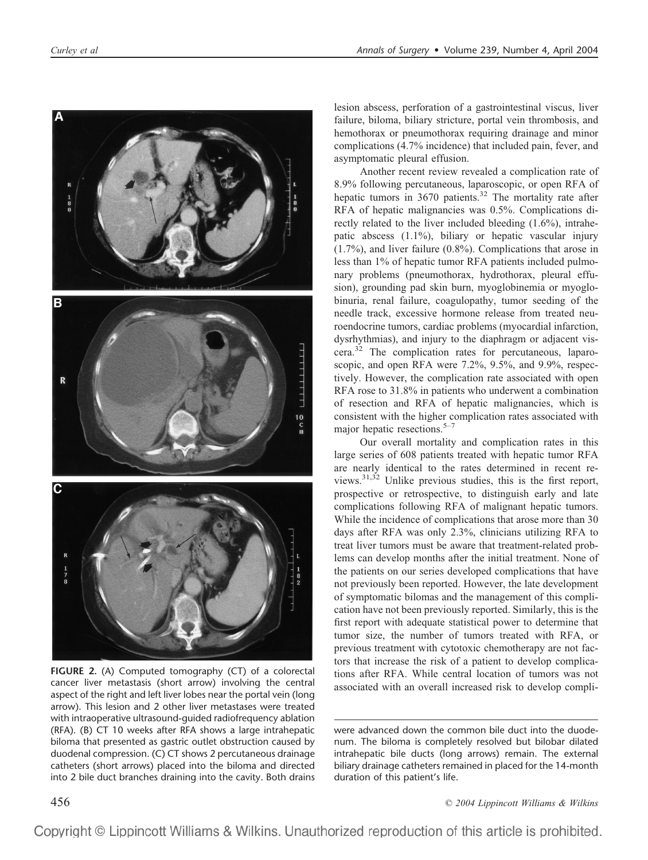

**FIGURE 2.** (A) Computed tomography (CT) of a colorectal cancer liver metastasis (short arrow) involving the central aspect of the right and left liver lobes near the portal vein (long arrow). This lesion and 2 other liver metastases were treated with intraoperative ultrasound-guided radiofrequency ablation (RFA). (B) CT 10 weeks after RFA shows a large intrahepatic biloma that presented as gastric outlet obstruction caused by duodenal compression. (C) CT shows 2 percutaneous drainage catheters (short arrows) placed into the biloma and directed into 2 bile duct branches draining into the cavity. Both drains

lesion abscess, perforation of a gastrointestinal viscus, liver failure, biloma, biliary stricture, portal vein thrombosis, and hemothorax or pneumothorax requiring drainage and minor complications (4.7% incidence) that included pain, fever, and asymptomatic pleural effusion.

Another recent review revealed a complication rate of 8.9% following percutaneous, laparoscopic, or open RFA of hepatic tumors in 3670 patients.<sup>32</sup> The mortality rate after RFA of hepatic malignancies was 0.5%. Complications directly related to the liver included bleeding (1.6%), intrahepatic abscess (1.1%), biliary or hepatic vascular injury (1.7%), and liver failure (0.8%). Complications that arose in less than 1% of hepatic tumor RFA patients included pulmonary problems (pneumothorax, hydrothorax, pleural effusion), grounding pad skin burn, myoglobinemia or myoglobinuria, renal failure, coagulopathy, tumor seeding of the needle track, excessive hormone release from treated neuroendocrine tumors, cardiac problems (myocardial infarction, dysrhythmias), and injury to the diaphragm or adjacent viscera.32 The complication rates for percutaneous, laparoscopic, and open RFA were 7.2%, 9.5%, and 9.9%, respectively. However, the complication rate associated with open RFA rose to 31.8% in patients who underwent a combination of resection and RFA of hepatic malignancies, which is consistent with the higher complication rates associated with major hepatic resections.<sup>5–7</sup>

Our overall mortality and complication rates in this large series of 608 patients treated with hepatic tumor RFA are nearly identical to the rates determined in recent reviews.31,32 Unlike previous studies, this is the first report, prospective or retrospective, to distinguish early and late complications following RFA of malignant hepatic tumors. While the incidence of complications that arose more than 30 days after RFA was only 2.3%, clinicians utilizing RFA to treat liver tumors must be aware that treatment-related problems can develop months after the initial treatment. None of the patients on our series developed complications that have not previously been reported. However, the late development of symptomatic bilomas and the management of this complication have not been previously reported. Similarly, this is the first report with adequate statistical power to determine that tumor size, the number of tumors treated with RFA, or previous treatment with cytotoxic chemotherapy are not factors that increase the risk of a patient to develop complications after RFA. While central location of tumors was not associated with an overall increased risk to develop compli-

were advanced down the common bile duct into the duodenum. The biloma is completely resolved but bilobar dilated intrahepatic bile ducts (long arrows) remain. The external biliary drainage catheters remained in placed for the 14-month duration of this patient's life.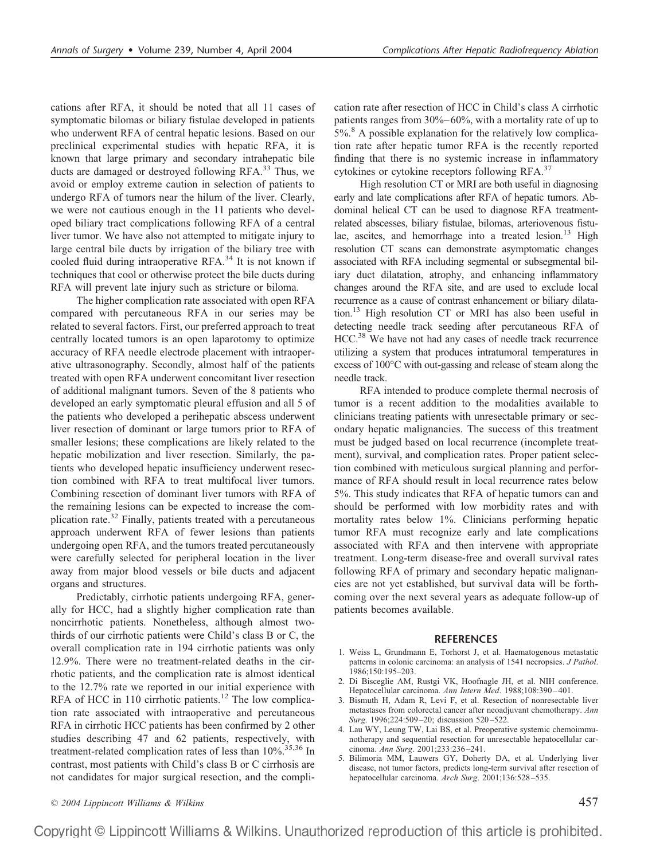cations after RFA, it should be noted that all 11 cases of symptomatic bilomas or biliary fistulae developed in patients who underwent RFA of central hepatic lesions. Based on our preclinical experimental studies with hepatic RFA, it is known that large primary and secondary intrahepatic bile ducts are damaged or destroyed following RFA.<sup>33</sup> Thus, we avoid or employ extreme caution in selection of patients to undergo RFA of tumors near the hilum of the liver. Clearly, we were not cautious enough in the 11 patients who developed biliary tract complications following RFA of a central liver tumor. We have also not attempted to mitigate injury to large central bile ducts by irrigation of the biliary tree with cooled fluid during intraoperative RFA.<sup>34</sup> It is not known if techniques that cool or otherwise protect the bile ducts during RFA will prevent late injury such as stricture or biloma.

The higher complication rate associated with open RFA compared with percutaneous RFA in our series may be related to several factors. First, our preferred approach to treat centrally located tumors is an open laparotomy to optimize accuracy of RFA needle electrode placement with intraoperative ultrasonography. Secondly, almost half of the patients treated with open RFA underwent concomitant liver resection of additional malignant tumors. Seven of the 8 patients who developed an early symptomatic pleural effusion and all 5 of the patients who developed a perihepatic abscess underwent liver resection of dominant or large tumors prior to RFA of smaller lesions; these complications are likely related to the hepatic mobilization and liver resection. Similarly, the patients who developed hepatic insufficiency underwent resection combined with RFA to treat multifocal liver tumors. Combining resection of dominant liver tumors with RFA of the remaining lesions can be expected to increase the complication rate.32 Finally, patients treated with a percutaneous approach underwent RFA of fewer lesions than patients undergoing open RFA, and the tumors treated percutaneously were carefully selected for peripheral location in the liver away from major blood vessels or bile ducts and adjacent organs and structures.

Predictably, cirrhotic patients undergoing RFA, generally for HCC, had a slightly higher complication rate than noncirrhotic patients. Nonetheless, although almost twothirds of our cirrhotic patients were Child's class B or C, the overall complication rate in 194 cirrhotic patients was only 12.9%. There were no treatment-related deaths in the cirrhotic patients, and the complication rate is almost identical to the 12.7% rate we reported in our initial experience with RFA of HCC in 110 cirrhotic patients.<sup>12</sup> The low complication rate associated with intraoperative and percutaneous RFA in cirrhotic HCC patients has been confirmed by 2 other studies describing 47 and 62 patients, respectively, with treatment-related complication rates of less than  $10\%$ .<sup>35,36</sup> In contrast, most patients with Child's class B or C cirrhosis are not candidates for major surgical resection, and the complication rate after resection of HCC in Child's class A cirrhotic patients ranges from 30%–60%, with a mortality rate of up to 5%.<sup>8</sup> A possible explanation for the relatively low complication rate after hepatic tumor RFA is the recently reported finding that there is no systemic increase in inflammatory cytokines or cytokine receptors following RFA.<sup>37</sup>

High resolution CT or MRI are both useful in diagnosing early and late complications after RFA of hepatic tumors. Abdominal helical CT can be used to diagnose RFA treatmentrelated abscesses, biliary fistulae, bilomas, arteriovenous fistulae, ascites, and hemorrhage into a treated lesion.<sup>13</sup> High resolution CT scans can demonstrate asymptomatic changes associated with RFA including segmental or subsegmental biliary duct dilatation, atrophy, and enhancing inflammatory changes around the RFA site, and are used to exclude local recurrence as a cause of contrast enhancement or biliary dilatation.<sup>13</sup> High resolution CT or MRI has also been useful in detecting needle track seeding after percutaneous RFA of HCC.<sup>38</sup> We have not had any cases of needle track recurrence utilizing a system that produces intratumoral temperatures in excess of 100°C with out-gassing and release of steam along the needle track.

RFA intended to produce complete thermal necrosis of tumor is a recent addition to the modalities available to clinicians treating patients with unresectable primary or secondary hepatic malignancies. The success of this treatment must be judged based on local recurrence (incomplete treatment), survival, and complication rates. Proper patient selection combined with meticulous surgical planning and performance of RFA should result in local recurrence rates below 5%. This study indicates that RFA of hepatic tumors can and should be performed with low morbidity rates and with mortality rates below 1%. Clinicians performing hepatic tumor RFA must recognize early and late complications associated with RFA and then intervene with appropriate treatment. Long-term disease-free and overall survival rates following RFA of primary and secondary hepatic malignancies are not yet established, but survival data will be forthcoming over the next several years as adequate follow-up of patients becomes available.

### **REFERENCES**

- 1. Weiss L, Grundmann E, Torhorst J, et al. Haematogenous metastatic patterns in colonic carcinoma: an analysis of 1541 necropsies. *J Pathol*. 1986;150:195–203.
- 2. Di Bisceglie AM, Rustgi VK, Hoofnagle JH, et al. NIH conference. Hepatocellular carcinoma. *Ann Intern Med*. 1988;108:390–401.
- 3. Bismuth H, Adam R, Levi F, et al. Resection of nonresectable liver metastases from colorectal cancer after neoadjuvant chemotherapy. *Ann Surg*. 1996;224:509–20; discussion 520–522.
- 4. Lau WY, Leung TW, Lai BS, et al. Preoperative systemic chemoimmunotherapy and sequential resection for unresectable hepatocellular carcinoma. *Ann Surg*. 2001;233:236–241.
- 5. Bilimoria MM, Lauwers GY, Doherty DA, et al. Underlying liver disease, not tumor factors, predicts long-term survival after resection of hepatocellular carcinoma. *Arch Surg*. 2001;136:528–535.

*© 2004 Lippincott Williams & Wilkins* 457